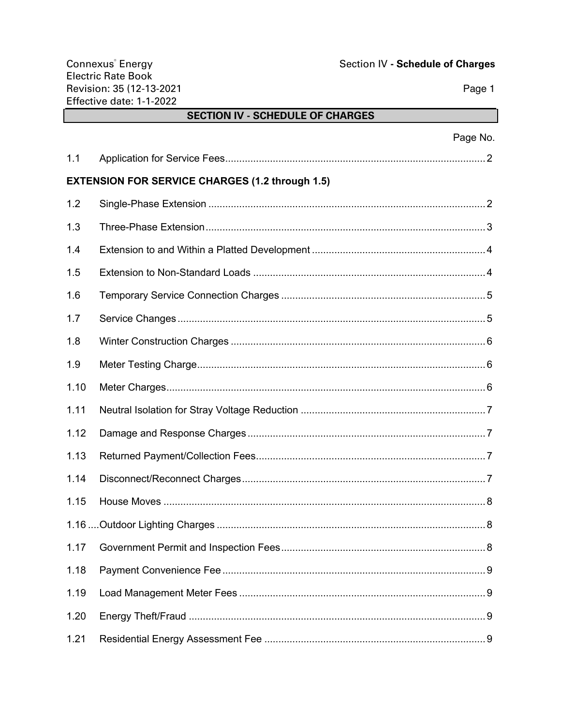## **SECTION IV - SCHEDULE OF CHARGES**

|      | Page No.                                               |
|------|--------------------------------------------------------|
| 1.1  |                                                        |
|      | <b>EXTENSION FOR SERVICE CHARGES (1.2 through 1.5)</b> |
| 1.2  |                                                        |
| 1.3  |                                                        |
| 1.4  |                                                        |
| 1.5  |                                                        |
| 1.6  |                                                        |
| 1.7  |                                                        |
| 1.8  |                                                        |
| 1.9  |                                                        |
| 1.10 |                                                        |
| 1.11 |                                                        |
| 1.12 |                                                        |
| 1.13 |                                                        |
| 1.14 |                                                        |
| 1.15 |                                                        |
|      |                                                        |
| 1.17 |                                                        |
| 1.18 |                                                        |
| 1.19 |                                                        |
| 1.20 |                                                        |
| 1.21 |                                                        |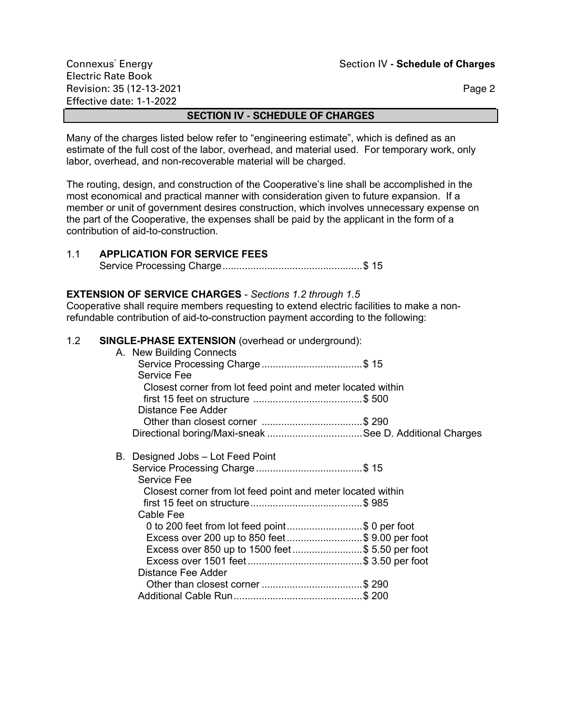| Connexus <sup>®</sup> Energy | Section IV - Schedule of Charges |
|------------------------------|----------------------------------|
| <b>Electric Rate Book</b>    |                                  |
| Revision: 35 (12-13-2021)    | Page 2                           |
| Effective date: 1-1-2022     |                                  |

### **SECTION IV - SCHEDULE OF CHARGES**

Many of the charges listed below refer to "engineering estimate", which is defined as an estimate of the full cost of the labor, overhead, and material used. For temporary work, only labor, overhead, and non-recoverable material will be charged.

The routing, design, and construction of the Cooperative's line shall be accomplished in the most economical and practical manner with consideration given to future expansion. If a member or unit of government desires construction, which involves unnecessary expense on the part of the Cooperative, the expenses shall be paid by the applicant in the form of a contribution of aid-to-construction.

## 1.1 **APPLICATION FOR SERVICE FEES**

Service Processing Charge..................................................\$ 15

### **EXTENSION OF SERVICE CHARGES** - *Sections 1.2 through 1.5*

Cooperative shall require members requesting to extend electric facilities to make a nonrefundable contribution of aid-to-construction payment according to the following:

### 1.2 **SINGLE-PHASE EXTENSION** (overhead or underground):

|  | A. New Building Connects                                    |  |
|--|-------------------------------------------------------------|--|
|  |                                                             |  |
|  | Service Fee                                                 |  |
|  | Closest corner from lot feed point and meter located within |  |
|  |                                                             |  |
|  | Distance Fee Adder                                          |  |
|  |                                                             |  |
|  |                                                             |  |
|  |                                                             |  |
|  |                                                             |  |
|  | B. Designed Jobs - Lot Feed Point                           |  |
|  |                                                             |  |
|  | Service Fee                                                 |  |
|  | Closest corner from lot feed point and meter located within |  |
|  |                                                             |  |
|  | Cable Fee                                                   |  |
|  | 0 to 200 feet from lot feed point\$ 0 per foot              |  |
|  | Excess over 200 up to 850 feet\$ 9.00 per foot              |  |
|  | Excess over 850 up to 1500 feet\$ 5.50 per foot             |  |
|  |                                                             |  |
|  | Distance Fee Adder                                          |  |
|  |                                                             |  |
|  |                                                             |  |
|  |                                                             |  |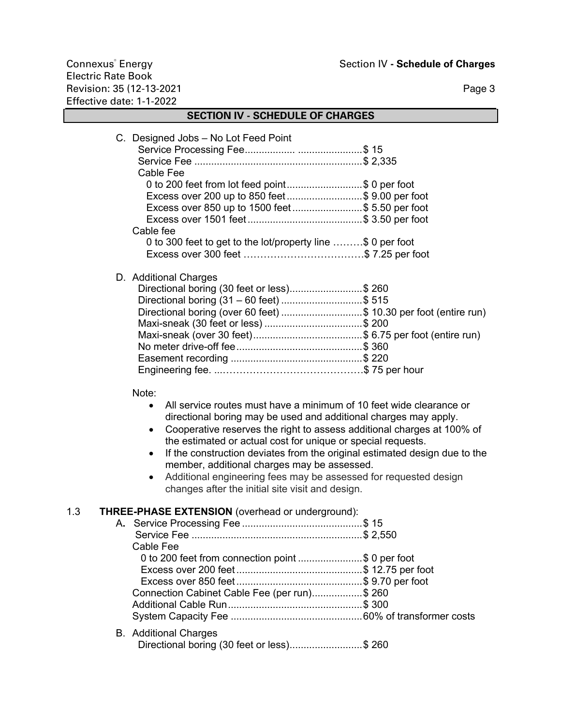## **SECTION IV - SCHEDULE OF CHARGES**

|     | C. Designed Jobs - No Lot Feed Point<br>Cable Fee<br>0 to 200 feet from lot feed point\$ 0 per foot<br>Excess over 200 up to 850 feet\$ 9.00 per foot<br>Excess over 850 up to 1500 feet\$ 5.50 per foot<br>Cable fee<br>0 to 300 feet to get to the lot/property line \$ 0 per foot                                                                                                                                                                                                                                                                                                   |
|-----|----------------------------------------------------------------------------------------------------------------------------------------------------------------------------------------------------------------------------------------------------------------------------------------------------------------------------------------------------------------------------------------------------------------------------------------------------------------------------------------------------------------------------------------------------------------------------------------|
|     |                                                                                                                                                                                                                                                                                                                                                                                                                                                                                                                                                                                        |
|     | D. Additional Charges<br>Directional boring (30 feet or less)\$ 260<br>Directional boring (31 – 60 feet) \$ 515<br>Directional boring (over 60 feet) \$ 10.30 per foot (entire run)                                                                                                                                                                                                                                                                                                                                                                                                    |
|     | Note:<br>All service routes must have a minimum of 10 feet wide clearance or<br>$\bullet$<br>directional boring may be used and additional charges may apply.<br>Cooperative reserves the right to assess additional charges at 100% of<br>the estimated or actual cost for unique or special requests.<br>If the construction deviates from the original estimated design due to the<br>$\bullet$<br>member, additional charges may be assessed.<br>Additional engineering fees may be assessed for requested design<br>$\bullet$<br>changes after the initial site visit and design. |
| 1.3 | THREE-PHASE EXTENSION (overhead or underground):                                                                                                                                                                                                                                                                                                                                                                                                                                                                                                                                       |

| Cable Fee                                         |  |
|---------------------------------------------------|--|
| 0 to 200 feet from connection point \$ 0 per foot |  |
|                                                   |  |
|                                                   |  |
| Connection Cabinet Cable Fee (per run)\$260       |  |
|                                                   |  |
|                                                   |  |
| <b>B.</b> Additional Charges                      |  |
| Directional boring (30 feet or less)\$ 260        |  |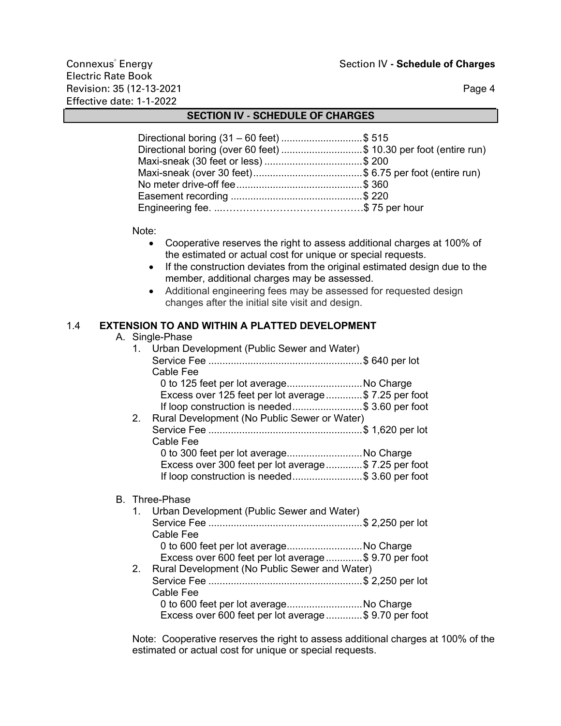### **SECTION IV - SCHEDULE OF CHARGES**

| Directional boring (31 – 60 feet) \$ 515                         |  |
|------------------------------------------------------------------|--|
| Directional boring (over 60 feet) \$ 10.30 per foot (entire run) |  |
|                                                                  |  |
|                                                                  |  |
|                                                                  |  |
|                                                                  |  |
|                                                                  |  |

### Note:

- Cooperative reserves the right to assess additional charges at 100% of the estimated or actual cost for unique or special requests.
- If the construction deviates from the original estimated design due to the member, additional charges may be assessed.
- Additional engineering fees may be assessed for requested design changes after the initial site visit and design.

### 1.4 **EXTENSION TO AND WITHIN A PLATTED DEVELOPMENT**

|    | A. Single-Phase                                       |  |
|----|-------------------------------------------------------|--|
|    | 1. Urban Development (Public Sewer and Water)         |  |
|    |                                                       |  |
|    | Cable Fee                                             |  |
|    | 0 to 125 feet per lot average No Charge               |  |
|    | Excess over 125 feet per lot average \$ 7.25 per foot |  |
|    | If loop construction is needed\$ 3.60 per foot        |  |
| 2. | Rural Development (No Public Sewer or Water)          |  |
|    |                                                       |  |
|    | Cable Fee                                             |  |
|    | 0 to 300 feet per lot average No Charge               |  |
|    | Excess over 300 feet per lot average\$ 7.25 per foot  |  |
|    | If loop construction is needed\$ 3.60 per foot        |  |
|    |                                                       |  |
|    | <b>B.</b> Three-Phase                                 |  |
|    | 1. Urban Development (Public Sewer and Water)         |  |
|    |                                                       |  |
|    | Cable Fee                                             |  |
|    | 0 to 600 feet per lot average No Charge               |  |
|    | Excess over 600 feet per lot average\$ 9.70 per foot  |  |
| 2. | Rural Development (No Public Sewer and Water)         |  |
|    |                                                       |  |
|    | Cable Fee                                             |  |
|    | 0 to 600 feet per lot average No Charge               |  |
|    | Excess over 600 feet per lot average \$ 9.70 per foot |  |
|    |                                                       |  |

Note: Cooperative reserves the right to assess additional charges at 100% of the estimated or actual cost for unique or special requests.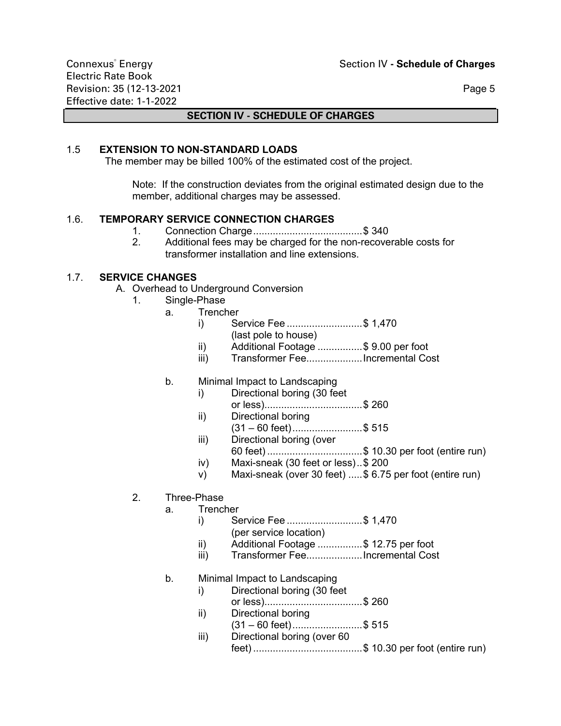### **SECTION IV - SCHEDULE OF CHARGES**

### 1.5 **EXTENSION TO NON-STANDARD LOADS**

The member may be billed 100% of the estimated cost of the project.

Note: If the construction deviates from the original estimated design due to the member, additional charges may be assessed.

### 1.6. **TEMPORARY SERVICE CONNECTION CHARGES**

- 1. Connection Charge.......................................\$ 340
- 2. Additional fees may be charged for the non-recoverable costs for transformer installation and line extensions.

### 1.7. **SERVICE CHANGES**

- A. Overhead to Underground Conversion
	- 1. Single-Phase
		- a. Trencher
			- i) Service Fee ............................\$ 1,470 (last pole to house)
			- ii) Additional Footage ................\$ 9.00 per foot
			- iii) Transformer Fee.....................Incremental Cost

### b. Minimal Impact to Landscaping

- i) Directional boring (30 feet or less)...................................\$ 260
- ii) Directional boring
- (31 60 feet).........................\$ 515 iii) Directional boring (over
- 60 feet)..................................\$ 10.30 per foot (entire run)
- iv) Maxi-sneak (30 feet or less)..\$ 200
- v) Maxi-sneak (over 30 feet) .....\$ 6.75 per foot (entire run)

### 2. Three-Phase

- a. Trencher
	- i) Service Fee ...........................\$ 1,470 (per service location)
	- ii) Additional Footage ................\$ 12.75 per foot
	- iii) Transformer Fee.....................Incremental Cost

### b. Minimal Impact to Landscaping

- i) Directional boring (30 feet
- or less)...................................\$ 260 ii) Directional boring
	- (31 60 feet).........................\$ 515
- iii) Directional boring (over 60 feet).......................................\$ 10.30 per foot (entire run)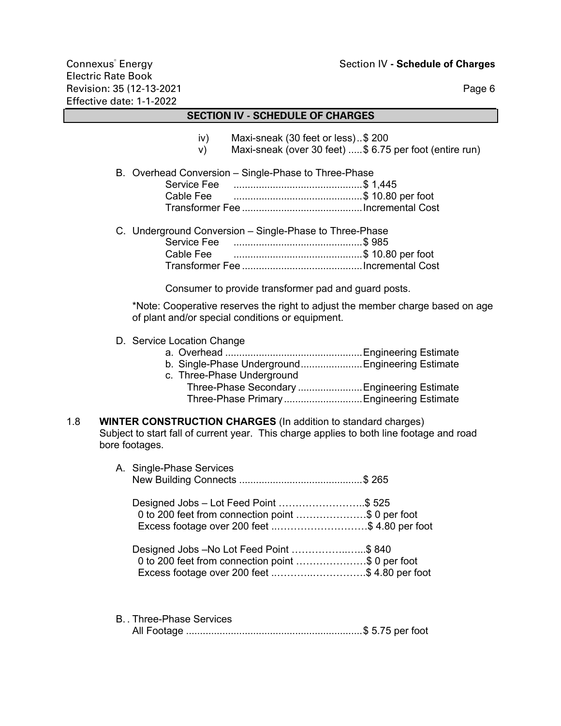## **SECTION IV - SCHEDULE OF CHARGES**

- iv) Maxi-sneak (30 feet or less)..\$ 200
- v) Maxi-sneak (over 30 feet) .....\$ 6.75 per foot (entire run)

|  | B. Overhead Conversion - Single-Phase to Three-Phase |
|--|------------------------------------------------------|
|  |                                                      |
|  |                                                      |
|  |                                                      |
|  |                                                      |

|  | C. Underground Conversion - Single-Phase to Three-Phase |
|--|---------------------------------------------------------|
|  |                                                         |
|  |                                                         |
|  |                                                         |

Consumer to provide transformer pad and guard posts.

\*Note: Cooperative reserves the right to adjust the member charge based on age of plant and/or special conditions or equipment.

D. Service Location Change

| b. Single-Phase Underground Engineering Estimate |  |
|--------------------------------------------------|--|
| c. Three-Phase Underground                       |  |
| Three-Phase Secondary  Engineering Estimate      |  |
| Three-Phase Primary Engineering Estimate         |  |

### 1.8 **WINTER CONSTRUCTION CHARGES** (In addition to standard charges) Subject to start fall of current year. This charge applies to both line footage and road bore footages.

| A. Single-Phase Services                                                                                                                      |  |
|-----------------------------------------------------------------------------------------------------------------------------------------------|--|
| Designed Jobs – Lot Feed Point \$ 525<br>0 to 200 feet from connection point \$ 0 per foot<br>Excess footage over 200 feet \$4.80 per foot    |  |
| Designed Jobs - No Lot Feed Point \$ 840<br>0 to 200 feet from connection point \$ 0 per foot<br>Excess footage over 200 feet \$4.80 per foot |  |

| B. . Three-Phase Services |  |  |
|---------------------------|--|--|
|                           |  |  |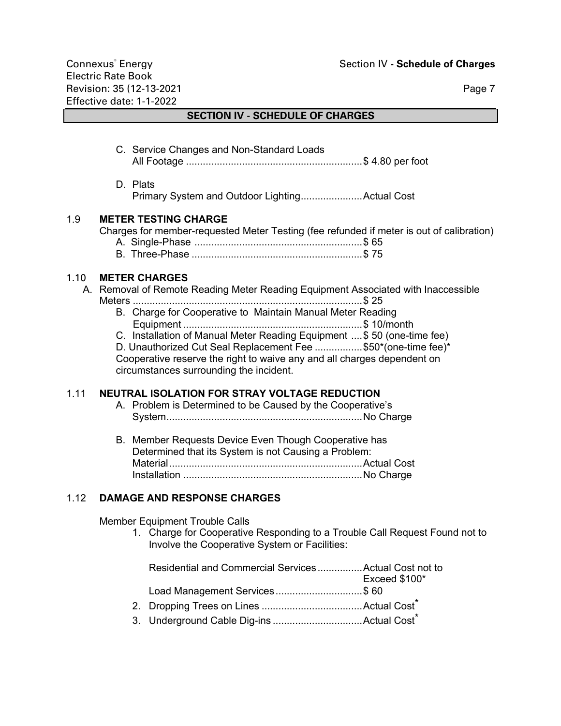### **SECTION IV - SCHEDULE OF CHARGES**

- C. Service Changes and Non-Standard Loads All Footage ...............................................................\$ 4.80 per foot
- D. Plats Primary System and Outdoor Lighting......................Actual Cost

### 1.9 **METER TESTING CHARGE**

Charges for member-requested Meter Testing (fee refunded if meter is out of calibration)

- A. Single-Phase ............................................................\$ 65
- B. Three-Phase .............................................................\$ 75

### 1.10 **METER CHARGES**

- A. Removal of Remote Reading Meter Reading Equipment Associated with Inaccessible Meters ..................................................................................\$ 25
	- B. Charge for Cooperative to Maintain Manual Meter Reading Equipment ................................................................\$ 10/month
	- C. Installation of Manual Meter Reading Equipment ....\$ 50 (one-time fee)
	- D. Unauthorized Cut Seal Replacement Fee ................\$50\*(one-time fee)\* Cooperative reserve the right to waive any and all charges dependent on
	- circumstances surrounding the incident.

## 1.11 **NEUTRAL ISOLATION FOR STRAY VOLTAGE REDUCTION**

- A. Problem is Determined to be Caused by the Cooperative's System......................................................................No Charge
- B. Member Requests Device Even Though Cooperative has Determined that its System is not Causing a Problem: Material.....................................................................Actual Cost Installation ................................................................No Charge

### 1.12 **DAMAGE AND RESPONSE CHARGES**

Member Equipment Trouble Calls

1. Charge for Cooperative Responding to a Trouble Call Request Found not to Involve the Cooperative System or Facilities:

| Residential and Commercial Services Actual Cost not to |               |
|--------------------------------------------------------|---------------|
|                                                        | Exceed \$100* |
| Load Management Services\$60                           |               |
|                                                        |               |
|                                                        |               |

3. Underground Cable Dig-ins ................................Actual Cost\*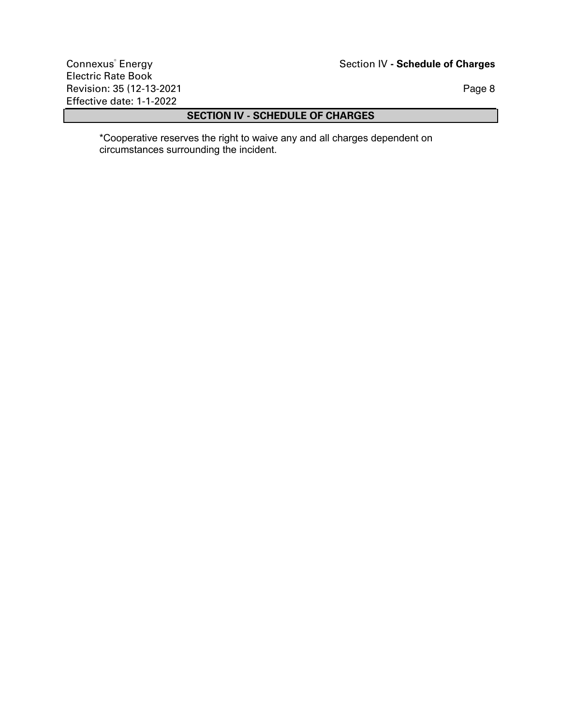## **SECTION IV - SCHEDULE OF CHARGES**

\*Cooperative reserves the right to waive any and all charges dependent on circumstances surrounding the incident.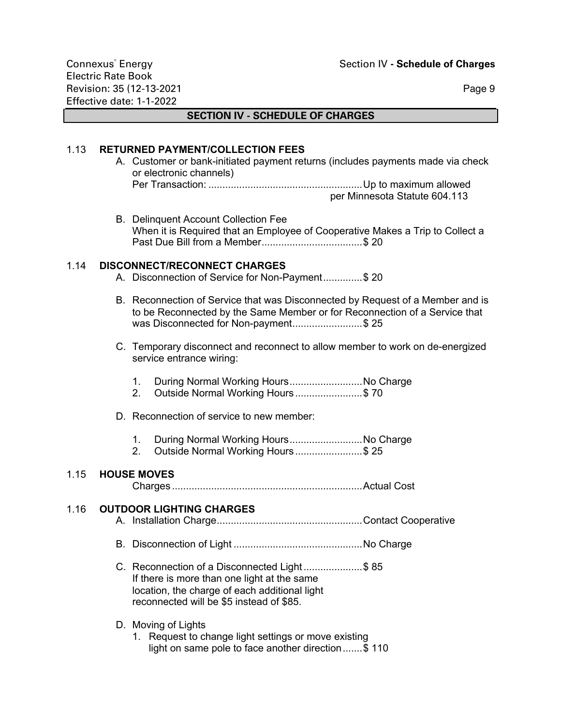### **SECTION IV - SCHEDULE OF CHARGES**

### 1.13 **RETURNED PAYMENT/COLLECTION FEES**

- A. Customer or bank-initiated payment returns (includes payments made via check or electronic channels) Per Transaction: .......................................................Up to maximum allowed
	- per Minnesota Statute 604.113
- B. Delinquent Account Collection Fee When it is Required that an Employee of Cooperative Makes a Trip to Collect a Past Due Bill from a Member....................................\$ 20

### 1.14 **DISCONNECT/RECONNECT CHARGES**

- A. Disconnection of Service for Non-Payment..............\$ 20
- B. Reconnection of Service that was Disconnected by Request of a Member and is to be Reconnected by the Same Member or for Reconnection of a Service that was Disconnected for Non-payment.........................\$ 25
- C. Temporary disconnect and reconnect to allow member to work on de-energized service entrance wiring:
	- 1. During Normal Working Hours..........................No Charge
	- 2. Outside Normal Working Hours ........................\$ 70
- D. Reconnection of service to new member:
	- 1. During Normal Working Hours..........................No Charge
	- 2. Outside Normal Working Hours ........................\$ 25

## 1.15 **HOUSE MOVES**

Charges ....................................................................Actual Cost

### 1.16 **OUTDOOR LIGHTING CHARGES**

- A. Installation Charge....................................................Contact Cooperative
- B. Disconnection of Light ..............................................No Charge
- C. Reconnection of a Disconnected Light .....................\$ 85 If there is more than one light at the same location, the charge of each additional light reconnected will be \$5 instead of \$85.
- D. Moving of Lights
	- 1. Request to change light settings or move existing light on same pole to face another direction.......\$ 110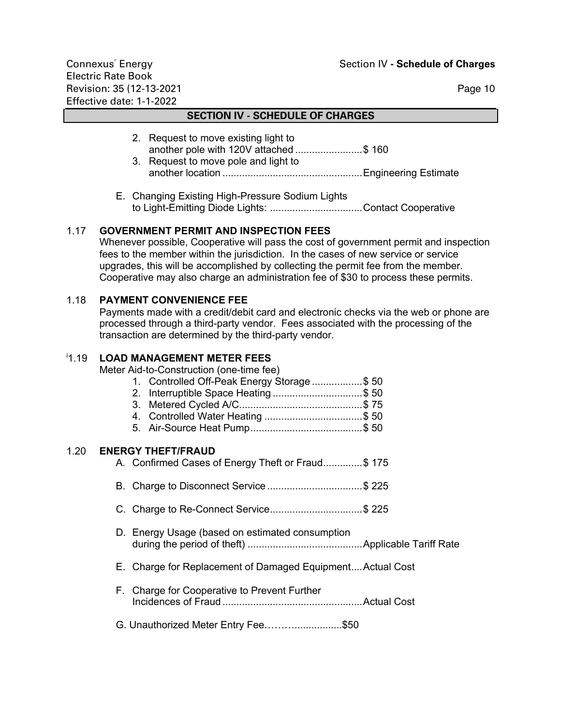# **SECTION IV - SCHEDULE OF CHARGES** 2. Request to move existing light to another pole with 120V attached ........................\$ 160 3. Request to move pole and light to another location ..................................................Engineering Estimate E. Changing Existing High-Pressure Sodium Lights to Light-Emitting Diode Lights: .................................Contact Cooperative 1.17 **GOVERNMENT PERMIT AND INSPECTION FEES** Whenever possible, Cooperative will pass the cost of government permit and inspection fees to the member within the jurisdiction. In the cases of new service or service upgrades, this will be accomplished by collecting the permit fee from the member. Cooperative may also charge an administration fee of \$30 to process these permits. 1.18 **PAYMENT CONVENIENCE FEE** Payments made with a credit/debit card and electronic checks via the web or phone are processed through a third-party vendor. Fees associated with the processing of the transaction are determined by the third-party vendor. i 1.19 **LOAD MANAGEMENT METER FEES** Meter Aid-to-Construction (one-time fee) 1. Controlled Off-Peak Energy Storage ..................\$ 50 2. Interruptible Space Heating ................................\$ 50 3. Metered Cycled A/C............................................\$ 75 4. Controlled Water Heating ...................................\$ 50 5. Air-Source Heat Pump........................................\$ 50 1.20 **ENERGY THEFT/FRAUD** A. Confirmed Cases of Energy Theft or Fraud..............\$ 175 B. Charge to Disconnect Service ..................................\$ 225 C. Charge to Re-Connect Service.................................\$ 225 D. Energy Usage (based on estimated consumption during the period of theft) .........................................Applicable Tariff Rate E. Charge for Replacement of Damaged Equipment....Actual Cost F. Charge for Cooperative to Prevent Further Incidences of Fraud ..................................................Actual Cost G. Unauthorized Meter Entry Fee……….................\$50